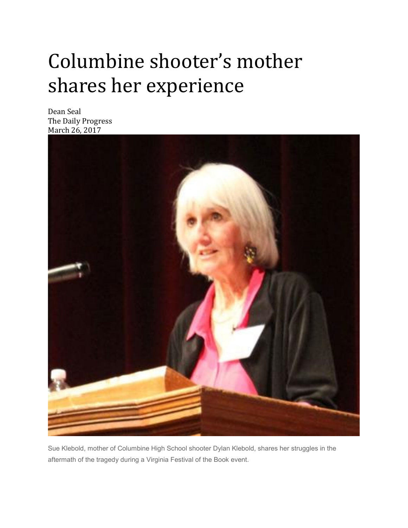## Columbine shooter's mother shares her experience

Dean Seal The Daily Progress March 26, 2017



Sue Klebold, mother of Columbine High School shooter Dylan Klebold, shares her struggles in the aftermath of the tragedy during a Virginia Festival of the Book event.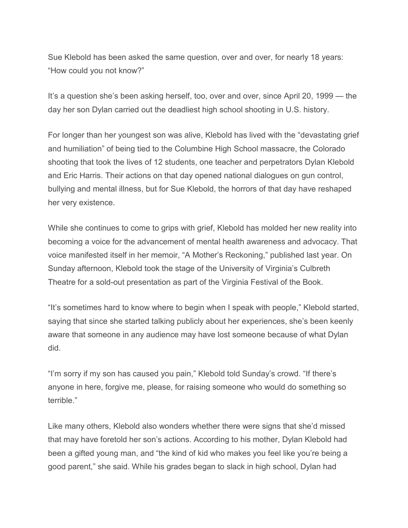Sue Klebold has been asked the same question, over and over, for nearly 18 years: "How could you not know?"

It's a question she's been asking herself, too, over and over, since April 20, 1999 — the day her son Dylan carried out the deadliest high school shooting in U.S. history.

For longer than her youngest son was alive, Klebold has lived with the "devastating grief and humiliation" of being tied to the Columbine High School massacre, the Colorado shooting that took the lives of 12 students, one teacher and perpetrators Dylan Klebold and Eric Harris. Their actions on that day opened national dialogues on gun control, bullying and mental illness, but for Sue Klebold, the horrors of that day have reshaped her very existence.

While she continues to come to grips with grief, Klebold has molded her new reality into becoming a voice for the advancement of mental health awareness and advocacy. That voice manifested itself in her memoir, "A Mother's Reckoning," published last year. On Sunday afternoon, Klebold took the stage of the University of Virginia's Culbreth Theatre for a sold-out presentation as part of the Virginia Festival of the Book.

"It's sometimes hard to know where to begin when I speak with people," Klebold started, saying that since she started talking publicly about her experiences, she's been keenly aware that someone in any audience may have lost someone because of what Dylan did.

"I'm sorry if my son has caused you pain," Klebold told Sunday's crowd. "If there's anyone in here, forgive me, please, for raising someone who would do something so terrible."

Like many others, Klebold also wonders whether there were signs that she'd missed that may have foretold her son's actions. According to his mother, Dylan Klebold had been a gifted young man, and "the kind of kid who makes you feel like you're being a good parent," she said. While his grades began to slack in high school, Dylan had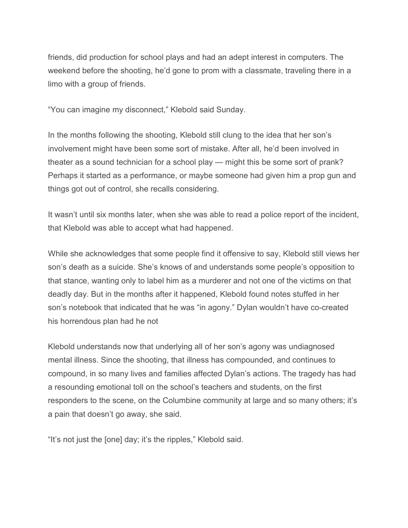friends, did production for school plays and had an adept interest in computers. The weekend before the shooting, he'd gone to prom with a classmate, traveling there in a limo with a group of friends.

"You can imagine my disconnect," Klebold said Sunday.

In the months following the shooting, Klebold still clung to the idea that her son's involvement might have been some sort of mistake. After all, he'd been involved in theater as a sound technician for a school play — might this be some sort of prank? Perhaps it started as a performance, or maybe someone had given him a prop gun and things got out of control, she recalls considering.

It wasn't until six months later, when she was able to read a police report of the incident, that Klebold was able to accept what had happened.

While she acknowledges that some people find it offensive to say, Klebold still views her son's death as a suicide. She's knows of and understands some people's opposition to that stance, wanting only to label him as a murderer and not one of the victims on that deadly day. But in the months after it happened, Klebold found notes stuffed in her son's notebook that indicated that he was "in agony." Dylan wouldn't have co-created his horrendous plan had he not

Klebold understands now that underlying all of her son's agony was undiagnosed mental illness. Since the shooting, that illness has compounded, and continues to compound, in so many lives and families affected Dylan's actions. The tragedy has had a resounding emotional toll on the school's teachers and students, on the first responders to the scene, on the Columbine community at large and so many others; it's a pain that doesn't go away, she said.

"It's not just the [one] day; it's the ripples," Klebold said.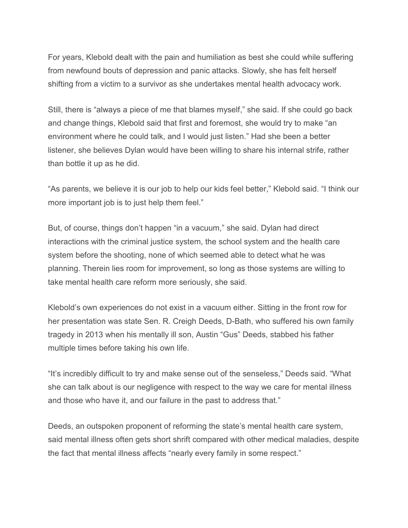For years, Klebold dealt with the pain and humiliation as best she could while suffering from newfound bouts of depression and panic attacks. Slowly, she has felt herself shifting from a victim to a survivor as she undertakes mental health advocacy work.

Still, there is "always a piece of me that blames myself," she said. If she could go back and change things, Klebold said that first and foremost, she would try to make "an environment where he could talk, and I would just listen." Had she been a better listener, she believes Dylan would have been willing to share his internal strife, rather than bottle it up as he did.

"As parents, we believe it is our job to help our kids feel better," Klebold said. "I think our more important job is to just help them feel."

But, of course, things don't happen "in a vacuum," she said. Dylan had direct interactions with the criminal justice system, the school system and the health care system before the shooting, none of which seemed able to detect what he was planning. Therein lies room for improvement, so long as those systems are willing to take mental health care reform more seriously, she said.

Klebold's own experiences do not exist in a vacuum either. Sitting in the front row for her presentation was state Sen. R. Creigh Deeds, D-Bath, who suffered his own family tragedy in 2013 when his mentally ill son, Austin "Gus" Deeds, stabbed his father multiple times before taking his own life.

"It's incredibly difficult to try and make sense out of the senseless," Deeds said. "What she can talk about is our negligence with respect to the way we care for mental illness and those who have it, and our failure in the past to address that."

Deeds, an outspoken proponent of reforming the state's mental health care system, said mental illness often gets short shrift compared with other medical maladies, despite the fact that mental illness affects "nearly every family in some respect."